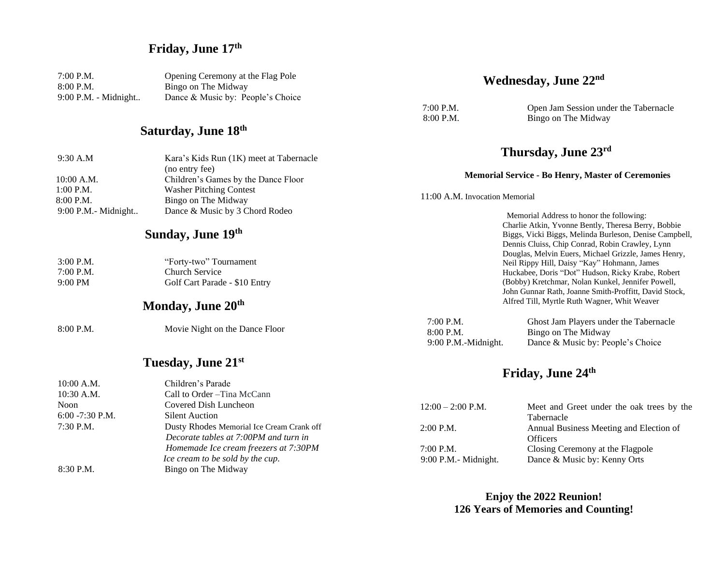## **Friday, June 17 th**

| 7:00 P.M.            | Opening Ceremony at the Flag Pole |
|----------------------|-----------------------------------|
| 8:00 P.M.            | Bingo on The Midway               |
| 9:00 P.M. - Midnight | Dance & Music by: People's Choice |

#### **Saturday, June 18th**

| 9:30 A.M                 | Kara's Kids Run (1K) meet at Tabernacle               | Thursday, June 23rd                                                                                                                                                                                         |  |
|--------------------------|-------------------------------------------------------|-------------------------------------------------------------------------------------------------------------------------------------------------------------------------------------------------------------|--|
| $10:00$ A.M.             | (no entry fee)<br>Children's Games by the Dance Floor | <b>Memorial Service - Bo Henry, Master of Ceremonies</b>                                                                                                                                                    |  |
| $1:00$ P.M.<br>8:00 P.M. | <b>Washer Pitching Contest</b><br>Bingo on The Midway | 11:00 A.M. Invocation Memorial                                                                                                                                                                              |  |
| $9:00$ P.M.- Midnight    | Dance & Music by 3 Chord Rodeo                        | Memorial Address to honor the following:                                                                                                                                                                    |  |
| Sunday, June 19th        |                                                       | Charlie Atkin, Yvonne Bently, Theresa Berry, Bob<br>Biggs, Vicki Biggs, Melinda Burleson, Denise Car<br>Dennis Cluiss, Chip Conrad, Robin Crawley, Lynn<br>Douglas, Melvin Euers, Michael Grizzle, James He |  |
| $3:00$ P.M.              | "Forty-two" Tournament                                | Neil Rippy Hill, Daisy "Kay" Hohmann, James                                                                                                                                                                 |  |
| $7:00$ P.M.              | Church Service                                        | Huckabee, Doris "Dot" Hudson, Ricky Krabe, Rob                                                                                                                                                              |  |
| $9:00 \text{ PM}$        | Golf Cart Parade - \$10 Entry                         | (Bobby) Kretchmar, Nolan Kunkel, Jennifer Powe.                                                                                                                                                             |  |
|                          |                                                       |                                                                                                                                                                                                             |  |

#### **Monday, June 20th**

Movie Night on the Dance Floor

## **Tuesday, June 21 st**

|                    | Tutouay, Julie 21                         |                         | Friday      |
|--------------------|-------------------------------------------|-------------------------|-------------|
| $10:00$ A.M.       | Children's Parade                         |                         |             |
| $10:30$ A.M.       | Call to Order - Tina McCann               |                         |             |
| Noon               | Covered Dish Luncheon                     | $12:00 - 2:00$ P.M.     | $M\epsilon$ |
| $6:00 - 7:30$ P.M. | <b>Silent Auction</b>                     |                         | Tal         |
| $7:30$ P.M.        | Dusty Rhodes Memorial Ice Cream Crank off | $2:00$ P.M.             | An          |
|                    | Decorate tables at 7:00PM and turn in     |                         | Of          |
|                    | Homemade Ice cream freezers at 7:30PM     | 7:00 P.M.               | Ck          |
|                    | Ice cream to be sold by the cup.          | $9:00$ P.M. - Midnight. | Da          |
| 8:30 P.M.          | Bingo on The Midway                       |                         |             |

**Enjoy the 2022 Reunion! 126 Years of Memories and Counting!**

#### **Wednesday, June 22nd**

7:00 P.M. Open Jam Session under the Tabernacle 8:00 P.M. Bingo on The Midway

#### **Thursday, June 23 rd**

Charlie Atkin, Yvonne Bently, Theresa Berry, Bobbie ampbell, Dennis Cluiss, Chip Conrad, Robin Crawley, Lynn Henry, Huckabee, Doris "Dot" Hudson, Ricky Krabe, Robert (Bobby) Kretchmar, Nolan Kunkel, Jennifer Powell, John Gunnar Rath, Joanne Smith-Proffitt, David Stock, Alfred Till, Myrtle Ruth Wagner, Whit Weaver

| $7:00$ P.M.         | Ghost Jam Players under the Tabernacle |
|---------------------|----------------------------------------|
| $8:00$ P.M.         | Bingo on The Midway                    |
| 9:00 P.M.-Midnight. | Dance & Music by: People's Choice      |

## **Friday, June 24 th**

| $12:00 - 2:00$ P.M.               | Meet and Greet under the oak trees by the<br>Tabernacle                             |
|-----------------------------------|-------------------------------------------------------------------------------------|
| $2:00$ P.M.                       | Annual Business Meeting and Election of                                             |
| 7:00 P.M.<br>9:00 P.M.- Midnight. | <b>Officers</b><br>Closing Ceremony at the Flagpole<br>Dance & Music by: Kenny Orts |